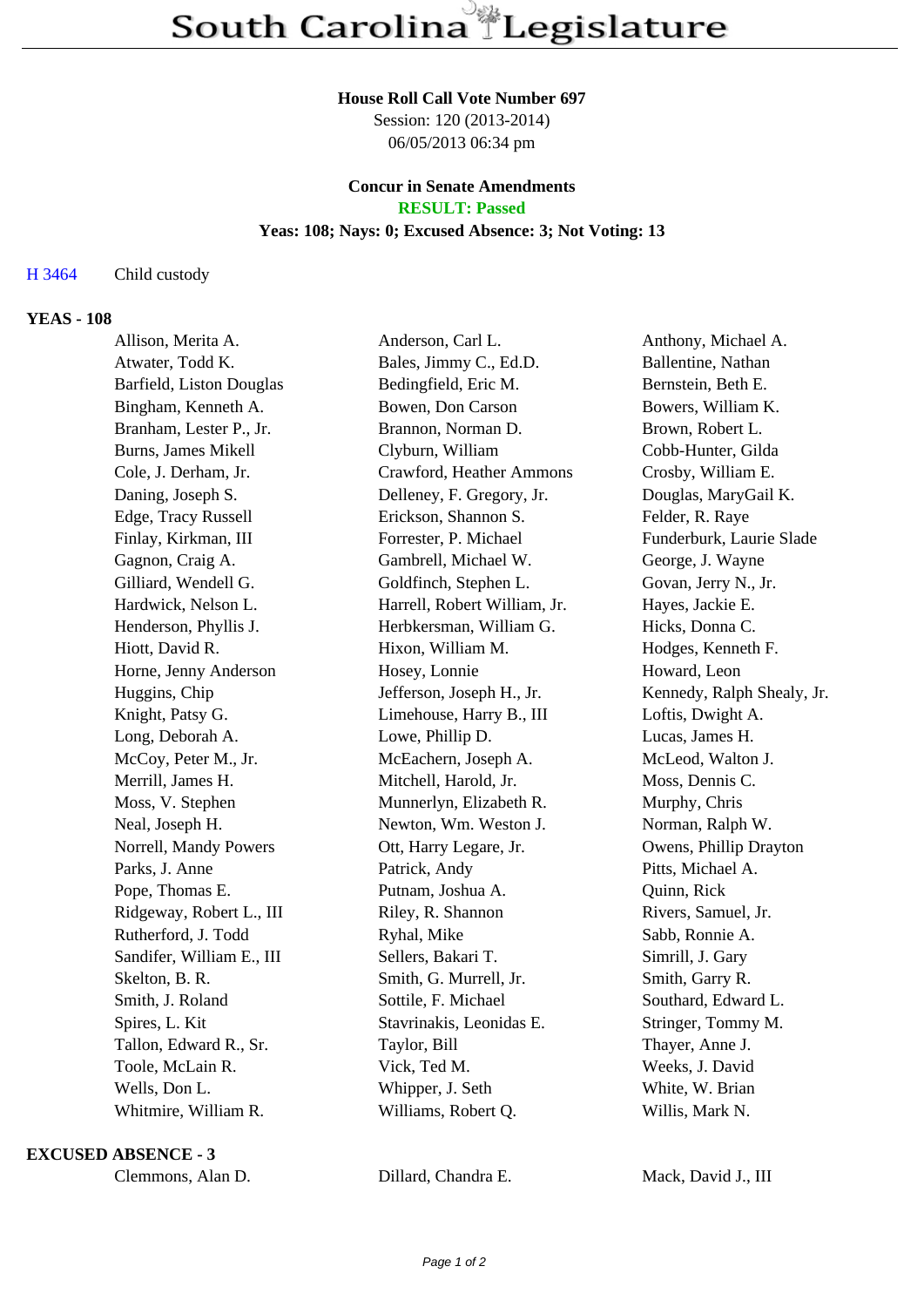### **House Roll Call Vote Number 697**

Session: 120 (2013-2014) 06/05/2013 06:34 pm

## **Concur in Senate Amendments RESULT: Passed**

### **Yeas: 108; Nays: 0; Excused Absence: 3; Not Voting: 13**

H 3464 Child custody

# **YEAS - 108**

| Allison, Merita A.         | Anderson, Carl L.            | Anthony, Michael A.        |
|----------------------------|------------------------------|----------------------------|
| Atwater, Todd K.           | Bales, Jimmy C., Ed.D.       | Ballentine, Nathan         |
| Barfield, Liston Douglas   | Bedingfield, Eric M.         | Bernstein, Beth E.         |
| Bingham, Kenneth A.        | Bowen, Don Carson            | Bowers, William K.         |
| Branham, Lester P., Jr.    | Brannon, Norman D.           | Brown, Robert L.           |
| <b>Burns, James Mikell</b> | Clyburn, William             | Cobb-Hunter, Gilda         |
| Cole, J. Derham, Jr.       | Crawford, Heather Ammons     | Crosby, William E.         |
| Daning, Joseph S.          | Delleney, F. Gregory, Jr.    | Douglas, MaryGail K.       |
| Edge, Tracy Russell        | Erickson, Shannon S.         | Felder, R. Raye            |
| Finlay, Kirkman, III       | Forrester, P. Michael        | Funderburk, Laurie Slade   |
| Gagnon, Craig A.           | Gambrell, Michael W.         | George, J. Wayne           |
| Gilliard, Wendell G.       | Goldfinch, Stephen L.        | Govan, Jerry N., Jr.       |
| Hardwick, Nelson L.        | Harrell, Robert William, Jr. | Hayes, Jackie E.           |
| Henderson, Phyllis J.      | Herbkersman, William G.      | Hicks, Donna C.            |
| Hiott, David R.            | Hixon, William M.            | Hodges, Kenneth F.         |
| Horne, Jenny Anderson      | Hosey, Lonnie                | Howard, Leon               |
| Huggins, Chip              | Jefferson, Joseph H., Jr.    | Kennedy, Ralph Shealy, Jr. |
| Knight, Patsy G.           | Limehouse, Harry B., III     | Loftis, Dwight A.          |
| Long, Deborah A.           | Lowe, Phillip D.             | Lucas, James H.            |
| McCoy, Peter M., Jr.       | McEachern, Joseph A.         | McLeod, Walton J.          |
| Merrill, James H.          | Mitchell, Harold, Jr.        | Moss, Dennis C.            |
| Moss, V. Stephen           | Munnerlyn, Elizabeth R.      | Murphy, Chris              |
| Neal, Joseph H.            | Newton, Wm. Weston J.        | Norman, Ralph W.           |
| Norrell, Mandy Powers      | Ott, Harry Legare, Jr.       | Owens, Phillip Drayton     |
| Parks, J. Anne             | Patrick, Andy                | Pitts, Michael A.          |
| Pope, Thomas E.            | Putnam, Joshua A.            | Quinn, Rick                |
| Ridgeway, Robert L., III   | Riley, R. Shannon            | Rivers, Samuel, Jr.        |
| Rutherford, J. Todd        | Ryhal, Mike                  | Sabb, Ronnie A.            |
| Sandifer, William E., III  | Sellers, Bakari T.           | Simrill, J. Gary           |
| Skelton, B. R.             | Smith, G. Murrell, Jr.       | Smith, Garry R.            |
| Smith, J. Roland           | Sottile, F. Michael          | Southard, Edward L.        |
| Spires, L. Kit             | Stavrinakis, Leonidas E.     | Stringer, Tommy M.         |
| Tallon, Edward R., Sr.     | Taylor, Bill                 | Thayer, Anne J.            |
| Toole, McLain R.           | Vick, Ted M.                 | Weeks, J. David            |
| Wells, Don L.              | Whipper, J. Seth             | White, W. Brian            |
| Whitmire, William R.       | Williams, Robert Q.          | Willis, Mark N.            |
|                            |                              |                            |

### **EXCUSED ABSENCE - 3**

Clemmons, Alan D. Dillard, Chandra E. Mack, David J., III